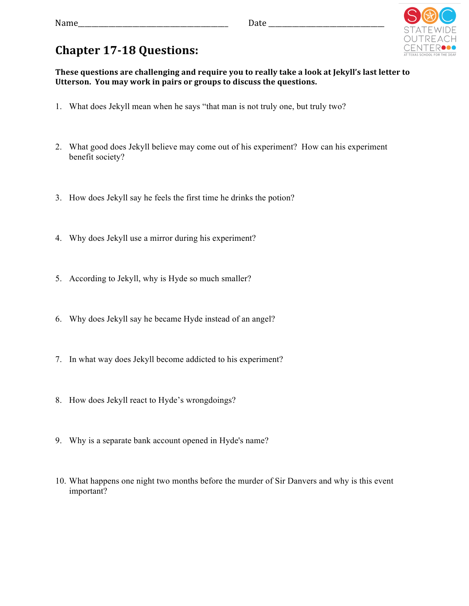## ⊥⊢R●

## **Chapter 17-18 Questions:**

These questions are challenging and require you to really take a look at Jekyll's last letter to Utterson. You may work in pairs or groups to discuss the questions.

- 1. What does Jekyll mean when he says "that man is not truly one, but truly two?
- 2. What good does Jekyll believe may come out of his experiment? How can his experiment benefit society?
- 3. How does Jekyll say he feels the first time he drinks the potion?
- 4. Why does Jekyll use a mirror during his experiment?
- 5. According to Jekyll, why is Hyde so much smaller?
- 6. Why does Jekyll say he became Hyde instead of an angel?
- 7. In what way does Jekyll become addicted to his experiment?
- 8. How does Jekyll react to Hyde's wrongdoings?
- 9. Why is a separate bank account opened in Hyde's name?
- 10. What happens one night two months before the murder of Sir Danvers and why is this event important?